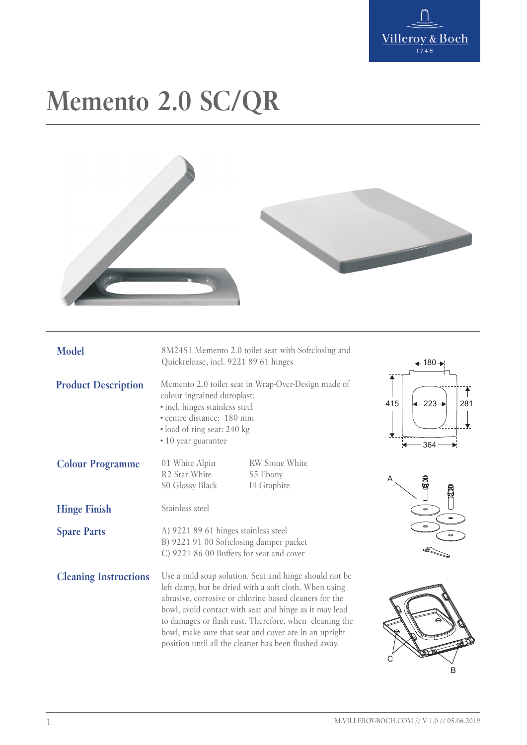

## **Memento 2.0 SC/QR**



| <b>Model</b>                 | 8M24S1 Memento 2.0 toilet seat with Softclosing and<br>Quickrelease, incl. 9221 89 61 hinges                                                                                                                                                                                                                                                                                                                    |                                           | $+180 +$                                          |
|------------------------------|-----------------------------------------------------------------------------------------------------------------------------------------------------------------------------------------------------------------------------------------------------------------------------------------------------------------------------------------------------------------------------------------------------------------|-------------------------------------------|---------------------------------------------------|
| <b>Product Description</b>   | Memento 2.0 toilet seat in Wrap-Over-Design made of<br>colour ingrained duroplast:<br>· incl. hinges stainless steel<br>· centre distance: 180 mm<br>· load of ring seat: 240 kg<br>• 10 year guarantee                                                                                                                                                                                                         |                                           | $\div$ 223 $\rightarrow$<br>281<br>415<br>$-364-$ |
| <b>Colour Programme</b>      | 01 White Alpin<br>R <sub>2</sub> Star White<br>S0 Glossy Black                                                                                                                                                                                                                                                                                                                                                  | RW Stone White<br>S5 Ebony<br>I4 Graphite | Α<br><b>CLICED</b><br><b>THE COD</b>              |
| <b>Hinge Finish</b>          | Stainless steel                                                                                                                                                                                                                                                                                                                                                                                                 |                                           |                                                   |
| <b>Spare Parts</b>           | A) 9221 89 61 hinges stainless steel<br>B) 9221 91 00 Softclosing damper packet<br>C) 9221 86 00 Buffers for seat and cover                                                                                                                                                                                                                                                                                     |                                           |                                                   |
| <b>Cleaning Instructions</b> | Use a mild soap solution. Seat and hinge should not be<br>left damp, but be dried with a soft cloth. When using<br>abrasive, corrosive or chlorine based cleaners for the<br>bowl, avoid contact with seat and hinge as it may lead<br>to damages or flash rust. Therefore, when cleaning the<br>bowl, make sure that seat and cover are in an upright<br>position until all the cleaner has been flushed away. |                                           | в                                                 |